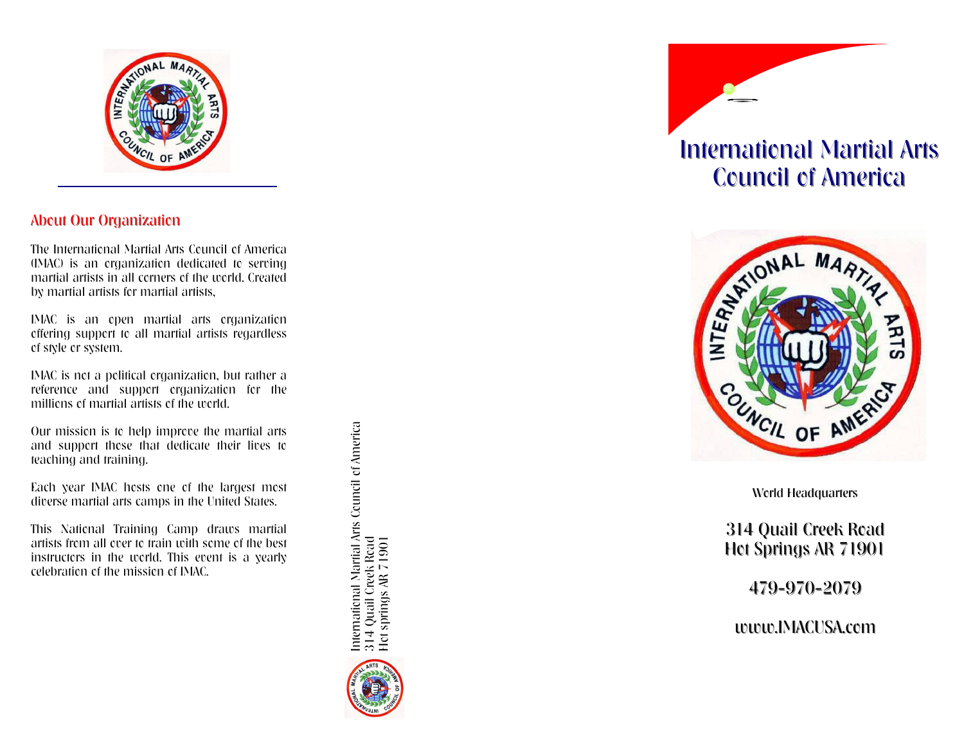

# About Our Organization

The International Martial Arts Council of America (IMAC) is an organization dedicated to serving martial artists in all corners of the world. Created by martial artists for martial artists,

IMAC is an open martial arts organization offering support to all martial artists regardless of style or system.

IMAC is not a political organization, but rather a reference and support organization for the millions of martial artists of the world.

Our mission is to help improve the martial arts and support those that dedicate their lives to teaching and training.

Each year IMAC hosts one of the largest most diverse martial arts camps in the United States.

This National Training Camp draws martial artists from all over to train with some of the best instructors in the world. This event is a yearly celebration of the mission of IMAC.

International Martial Arts Council of America<br>314 Quail Creek Road<br>Hot springs AR 71901 International Martial Arts Council of America 314 Quail Creek Road Hot springs AR 71901



# International Martial Arts Council of America



World Headquarters

314 Quail Creek Road Hot Springs AR 71901

479 -970 -2079

www.IMACUSA.com